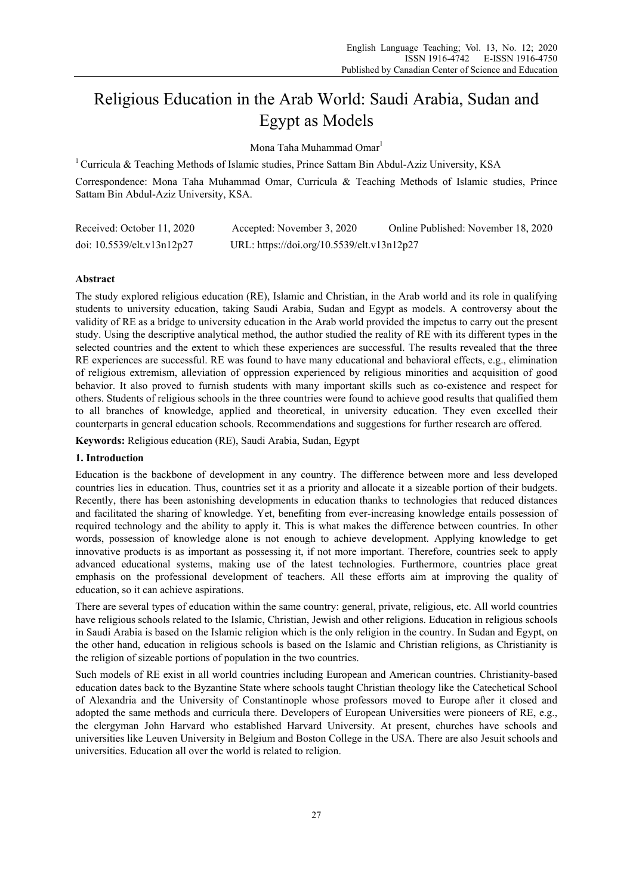# Religious Education in the Arab World: Saudi Arabia, Sudan and Egypt as Models

Mona Taha Muhammad Omar<sup>1</sup>

<sup>1</sup> Curricula & Teaching Methods of Islamic studies, Prince Sattam Bin Abdul-Aziz University, KSA

Correspondence: Mona Taha Muhammad Omar, Curricula & Teaching Methods of Islamic studies, Prince Sattam Bin Abdul-Aziz University, KSA.

| Received: October 11, 2020       | Accepted: November 3, 2020                 | Online Published: November 18, 2020 |
|----------------------------------|--------------------------------------------|-------------------------------------|
| doi: $10.5539$ /elt.v $13n12p27$ | URL: https://doi.org/10.5539/elt.v13n12p27 |                                     |

#### **Abstract**

The study explored religious education (RE), Islamic and Christian, in the Arab world and its role in qualifying students to university education, taking Saudi Arabia, Sudan and Egypt as models. A controversy about the validity of RE as a bridge to university education in the Arab world provided the impetus to carry out the present study. Using the descriptive analytical method, the author studied the reality of RE with its different types in the selected countries and the extent to which these experiences are successful. The results revealed that the three RE experiences are successful. RE was found to have many educational and behavioral effects, e.g., elimination of religious extremism, alleviation of oppression experienced by religious minorities and acquisition of good behavior. It also proved to furnish students with many important skills such as co-existence and respect for others. Students of religious schools in the three countries were found to achieve good results that qualified them to all branches of knowledge, applied and theoretical, in university education. They even excelled their counterparts in general education schools. Recommendations and suggestions for further research are offered.

**Keywords:** Religious education (RE), Saudi Arabia, Sudan, Egypt

#### **1. Introduction**

Education is the backbone of development in any country. The difference between more and less developed countries lies in education. Thus, countries set it as a priority and allocate it a sizeable portion of their budgets. Recently, there has been astonishing developments in education thanks to technologies that reduced distances and facilitated the sharing of knowledge. Yet, benefiting from ever-increasing knowledge entails possession of required technology and the ability to apply it. This is what makes the difference between countries. In other words, possession of knowledge alone is not enough to achieve development. Applying knowledge to get innovative products is as important as possessing it, if not more important. Therefore, countries seek to apply advanced educational systems, making use of the latest technologies. Furthermore, countries place great emphasis on the professional development of teachers. All these efforts aim at improving the quality of education, so it can achieve aspirations.

There are several types of education within the same country: general, private, religious, etc. All world countries have religious schools related to the Islamic, Christian, Jewish and other religions. Education in religious schools in Saudi Arabia is based on the Islamic religion which is the only religion in the country. In Sudan and Egypt, on the other hand, education in religious schools is based on the Islamic and Christian religions, as Christianity is the religion of sizeable portions of population in the two countries.

Such models of RE exist in all world countries including European and American countries. Christianity-based education dates back to the Byzantine State where schools taught Christian theology like the Catechetical School of Alexandria and the University of Constantinople whose professors moved to Europe after it closed and adopted the same methods and curricula there. Developers of European Universities were pioneers of RE, e.g., the clergyman John Harvard who established Harvard University. At present, churches have schools and universities like Leuven University in Belgium and Boston College in the USA. There are also Jesuit schools and universities. Education all over the world is related to religion.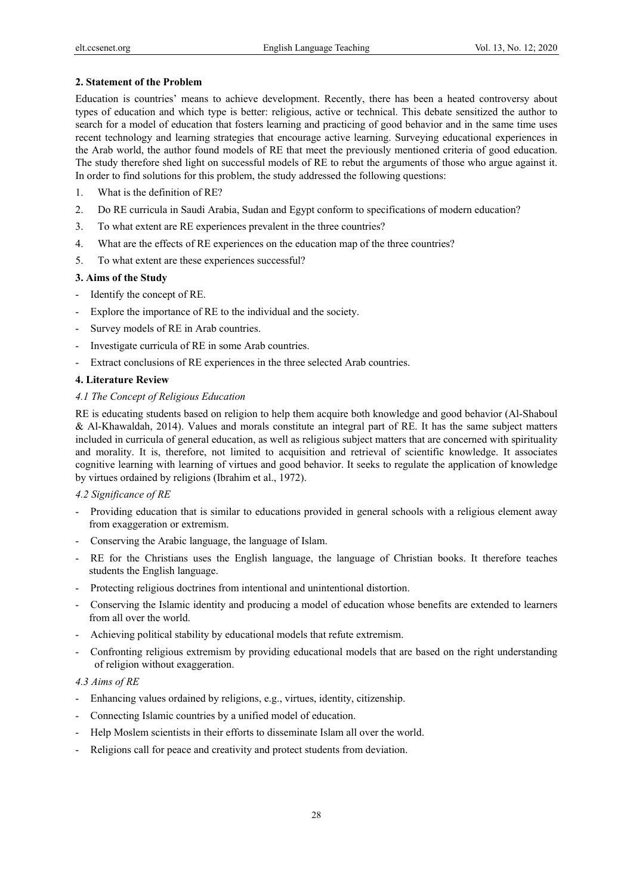## **2. Statement of the Problem**

Education is countries' means to achieve development. Recently, there has been a heated controversy about types of education and which type is better: religious, active or technical. This debate sensitized the author to search for a model of education that fosters learning and practicing of good behavior and in the same time uses recent technology and learning strategies that encourage active learning. Surveying educational experiences in the Arab world, the author found models of RE that meet the previously mentioned criteria of good education. The study therefore shed light on successful models of RE to rebut the arguments of those who argue against it. In order to find solutions for this problem, the study addressed the following questions:

- 1. What is the definition of RE?
- 2. Do RE curricula in Saudi Arabia, Sudan and Egypt conform to specifications of modern education?
- 3. To what extent are RE experiences prevalent in the three countries?
- 4. What are the effects of RE experiences on the education map of the three countries?
- 5. To what extent are these experiences successful?

## **3. Aims of the Study**

- Identify the concept of RE.
- Explore the importance of RE to the individual and the society.
- Survey models of RE in Arab countries.
- Investigate curricula of RE in some Arab countries.
- Extract conclusions of RE experiences in the three selected Arab countries.

## **4. Literature Review**

## *4.1 The Concept of Religious Education*

RE is educating students based on religion to help them acquire both knowledge and good behavior (Al-Shaboul & Al-Khawaldah, 2014). Values and morals constitute an integral part of RE. It has the same subject matters included in curricula of general education, as well as religious subject matters that are concerned with spirituality and morality. It is, therefore, not limited to acquisition and retrieval of scientific knowledge. It associates cognitive learning with learning of virtues and good behavior. It seeks to regulate the application of knowledge by virtues ordained by religions (Ibrahim et al., 1972).

#### *4.2 Significance of RE*

- Providing education that is similar to educations provided in general schools with a religious element away from exaggeration or extremism.
- Conserving the Arabic language, the language of Islam.
- RE for the Christians uses the English language, the language of Christian books. It therefore teaches students the English language.
- Protecting religious doctrines from intentional and unintentional distortion.
- Conserving the Islamic identity and producing a model of education whose benefits are extended to learners from all over the world.
- Achieving political stability by educational models that refute extremism.
- Confronting religious extremism by providing educational models that are based on the right understanding of religion without exaggeration.

## *4.3 Aims of RE*

- Enhancing values ordained by religions, e.g., virtues, identity, citizenship.
- Connecting Islamic countries by a unified model of education.
- Help Moslem scientists in their efforts to disseminate Islam all over the world.
- Religions call for peace and creativity and protect students from deviation.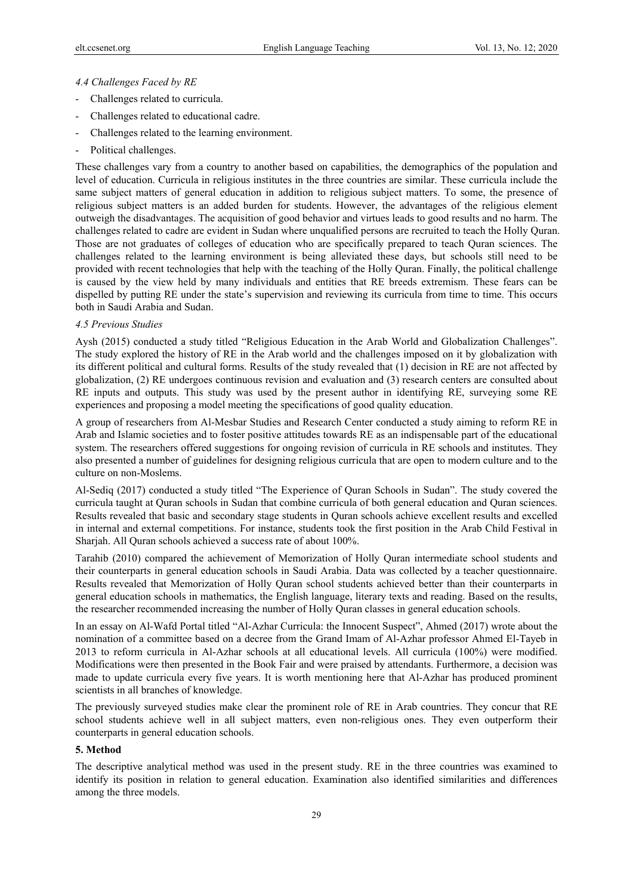#### *4.4 Challenges Faced by RE*

- Challenges related to curricula.
- Challenges related to educational cadre.
- Challenges related to the learning environment.
- Political challenges.

These challenges vary from a country to another based on capabilities, the demographics of the population and level of education. Curricula in religious institutes in the three countries are similar. These curricula include the same subject matters of general education in addition to religious subject matters. To some, the presence of religious subject matters is an added burden for students. However, the advantages of the religious element outweigh the disadvantages. The acquisition of good behavior and virtues leads to good results and no harm. The challenges related to cadre are evident in Sudan where unqualified persons are recruited to teach the Holly Quran. Those are not graduates of colleges of education who are specifically prepared to teach Quran sciences. The challenges related to the learning environment is being alleviated these days, but schools still need to be provided with recent technologies that help with the teaching of the Holly Quran. Finally, the political challenge is caused by the view held by many individuals and entities that RE breeds extremism. These fears can be dispelled by putting RE under the state's supervision and reviewing its curricula from time to time. This occurs both in Saudi Arabia and Sudan.

#### *4.5 Previous Studies*

Aysh (2015) conducted a study titled "Religious Education in the Arab World and Globalization Challenges". The study explored the history of RE in the Arab world and the challenges imposed on it by globalization with its different political and cultural forms. Results of the study revealed that (1) decision in RE are not affected by globalization, (2) RE undergoes continuous revision and evaluation and (3) research centers are consulted about RE inputs and outputs. This study was used by the present author in identifying RE, surveying some RE experiences and proposing a model meeting the specifications of good quality education.

A group of researchers from Al-Mesbar Studies and Research Center conducted a study aiming to reform RE in Arab and Islamic societies and to foster positive attitudes towards RE as an indispensable part of the educational system. The researchers offered suggestions for ongoing revision of curricula in RE schools and institutes. They also presented a number of guidelines for designing religious curricula that are open to modern culture and to the culture on non-Moslems.

Al-Sediq (2017) conducted a study titled "The Experience of Quran Schools in Sudan". The study covered the curricula taught at Quran schools in Sudan that combine curricula of both general education and Quran sciences. Results revealed that basic and secondary stage students in Quran schools achieve excellent results and excelled in internal and external competitions. For instance, students took the first position in the Arab Child Festival in Sharjah. All Quran schools achieved a success rate of about 100%.

Tarahib (2010) compared the achievement of Memorization of Holly Quran intermediate school students and their counterparts in general education schools in Saudi Arabia. Data was collected by a teacher questionnaire. Results revealed that Memorization of Holly Quran school students achieved better than their counterparts in general education schools in mathematics, the English language, literary texts and reading. Based on the results, the researcher recommended increasing the number of Holly Quran classes in general education schools.

In an essay on Al-Wafd Portal titled "Al-Azhar Curricula: the Innocent Suspect", Ahmed (2017) wrote about the nomination of a committee based on a decree from the Grand Imam of Al-Azhar professor Ahmed El-Tayeb in 2013 to reform curricula in Al-Azhar schools at all educational levels. All curricula (100%) were modified. Modifications were then presented in the Book Fair and were praised by attendants. Furthermore, a decision was made to update curricula every five years. It is worth mentioning here that Al-Azhar has produced prominent scientists in all branches of knowledge.

The previously surveyed studies make clear the prominent role of RE in Arab countries. They concur that RE school students achieve well in all subject matters, even non-religious ones. They even outperform their counterparts in general education schools.

## **5. Method**

The descriptive analytical method was used in the present study. RE in the three countries was examined to identify its position in relation to general education. Examination also identified similarities and differences among the three models.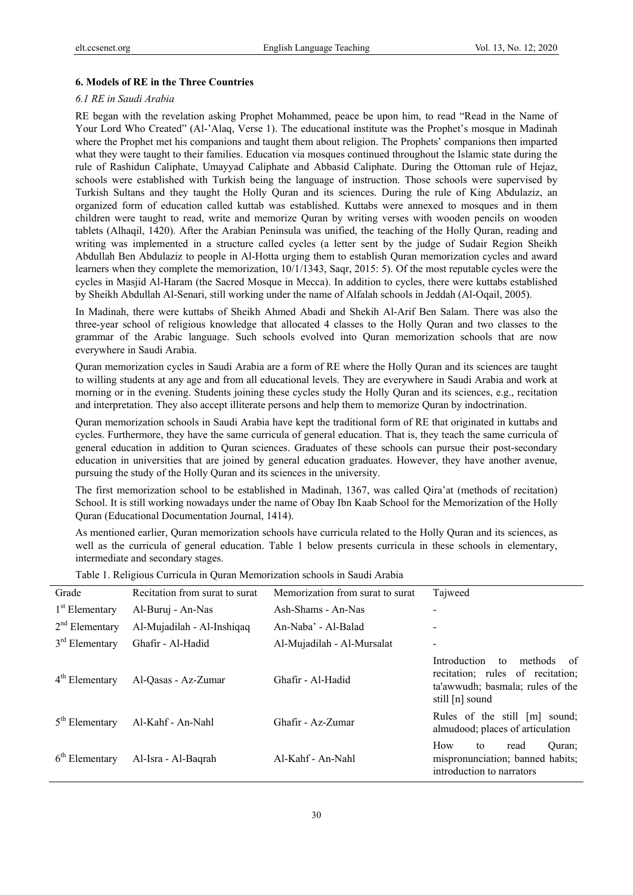#### **6. Models of RE in the Three Countries**

#### *6.1 RE in Saudi Arabia*

RE began with the revelation asking Prophet Mohammed, peace be upon him, to read "Read in the Name of Your Lord Who Created" (Al-'Alaq, Verse 1). The educational institute was the Prophet's mosque in Madinah where the Prophet met his companions and taught them about religion. The Prophets' companions then imparted what they were taught to their families. Education via mosques continued throughout the Islamic state during the rule of Rashidun Caliphate, Umayyad Caliphate and Abbasid Caliphate. During the Ottoman rule of Hejaz, schools were established with Turkish being the language of instruction. Those schools were supervised by Turkish Sultans and they taught the Holly Quran and its sciences. During the rule of King Abdulaziz, an organized form of education called kuttab was established. Kuttabs were annexed to mosques and in them children were taught to read, write and memorize Quran by writing verses with wooden pencils on wooden tablets (Alhaqil, 1420). After the Arabian Peninsula was unified, the teaching of the Holly Quran, reading and writing was implemented in a structure called cycles (a letter sent by the judge of Sudair Region Sheikh Abdullah Ben Abdulaziz to people in Al-Hotta urging them to establish Quran memorization cycles and award learners when they complete the memorization, 10/1/1343, Saqr, 2015: 5). Of the most reputable cycles were the cycles in Masjid Al-Haram (the Sacred Mosque in Mecca). In addition to cycles, there were kuttabs established by Sheikh Abdullah Al-Senari, still working under the name of Alfalah schools in Jeddah (Al-Oqail, 2005).

In Madinah, there were kuttabs of Sheikh Ahmed Abadi and Shekih Al-Arif Ben Salam. There was also the three-year school of religious knowledge that allocated 4 classes to the Holly Quran and two classes to the grammar of the Arabic language. Such schools evolved into Quran memorization schools that are now everywhere in Saudi Arabia.

Quran memorization cycles in Saudi Arabia are a form of RE where the Holly Quran and its sciences are taught to willing students at any age and from all educational levels. They are everywhere in Saudi Arabia and work at morning or in the evening. Students joining these cycles study the Holly Quran and its sciences, e.g., recitation and interpretation. They also accept illiterate persons and help them to memorize Quran by indoctrination.

Quran memorization schools in Saudi Arabia have kept the traditional form of RE that originated in kuttabs and cycles. Furthermore, they have the same curricula of general education. That is, they teach the same curricula of general education in addition to Quran sciences. Graduates of these schools can pursue their post-secondary education in universities that are joined by general education graduates. However, they have another avenue, pursuing the study of the Holly Quran and its sciences in the university.

The first memorization school to be established in Madinah, 1367, was called Qira'at (methods of recitation) School. It is still working nowadays under the name of Obay Ibn Kaab School for the Memorization of the Holly Quran (Educational Documentation Journal, 1414).

As mentioned earlier, Quran memorization schools have curricula related to the Holly Quran and its sciences, as well as the curricula of general education. Table 1 below presents curricula in these schools in elementary, intermediate and secondary stages.

| Grade                      | Recitation from surat to surat | Memorization from surat to surat | Tajweed                                                                                                                        |
|----------------------------|--------------------------------|----------------------------------|--------------------------------------------------------------------------------------------------------------------------------|
| 1 <sup>st</sup> Elementary | Al-Buruj - An-Nas              | Ash-Shams - An-Nas               |                                                                                                                                |
| $2nd$ Elementary           | Al-Mujadilah - Al-Inshigag     | An-Naba' - Al-Balad              |                                                                                                                                |
| $3rd$ Elementary           | Ghafir - Al-Hadid              | Al-Mujadilah - Al-Mursalat       |                                                                                                                                |
| $4th$ Elementary           | Al-Qasas - Az-Zumar            | Ghafir - Al-Hadid                | Introduction<br>methods<br>of<br>to<br>recitation; rules of recitation;<br>ta'awwudh; basmala; rules of the<br>still [n] sound |
| $5th$ Elementary           | Al-Kahf - An-Nahl              | Ghafir - Az-Zumar                | Rules of the still [m] sound;<br>almudood; places of articulation                                                              |
| $6th$ Elementary           | Al-Isra - Al-Baqrah            | Al-Kahf - An-Nahl                | How<br>Ouran;<br>to<br>read<br>mispronunciation; banned habits;<br>introduction to narrators                                   |

Table 1. Religious Curricula in Quran Memorization schools in Saudi Arabia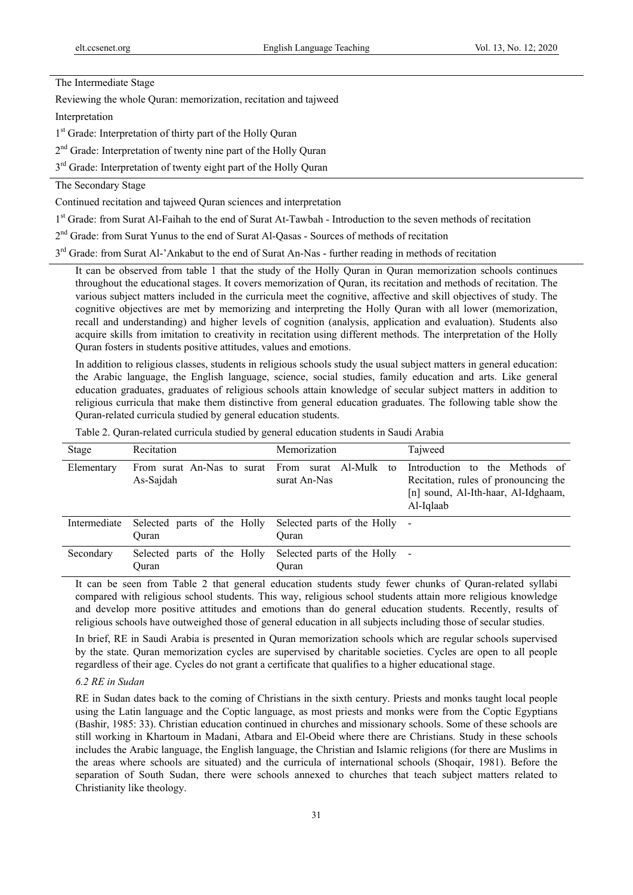The Intermediate Stage

Reviewing the whole Quran: memorization, recitation and tajweed

Interpretation

1<sup>st</sup> Grade: Interpretation of thirty part of the Holly Quran

2<sup>nd</sup> Grade: Interpretation of twenty nine part of the Holly Quran

3<sup>rd</sup> Grade: Interpretation of twenty eight part of the Holly Quran

## The Secondary Stage

Continued recitation and tajweed Quran sciences and interpretation

1st Grade: from Surat Al-Faihah to the end of Surat At-Tawbah - Introduction to the seven methods of recitation

2<sup>nd</sup> Grade: from Surat Yunus to the end of Surat Al-Qasas - Sources of methods of recitation

 $3<sup>rd</sup>$  Grade: from Surat Al-'Ankabut to the end of Surat An-Nas - further reading in methods of recitation

It can be observed from table 1 that the study of the Holly Quran in Quran memorization schools continues throughout the educational stages. It covers memorization of Quran, its recitation and methods of recitation. The various subject matters included in the curricula meet the cognitive, affective and skill objectives of study. The cognitive objectives are met by memorizing and interpreting the Holly Quran with all lower (memorization, recall and understanding) and higher levels of cognition (analysis, application and evaluation). Students also acquire skills from imitation to creativity in recitation using different methods. The interpretation of the Holly Quran fosters in students positive attitudes, values and emotions.

In addition to religious classes, students in religious schools study the usual subject matters in general education: the Arabic language, the English language, science, social studies, family education and arts. Like general education graduates, graduates of religious schools attain knowledge of secular subject matters in addition to religious curricula that make them distinctive from general education graduates. The following table show the Quran-related curricula studied by general education students.

|                  |                   | Table 2. Quran-related curricula studied by general education students in Saudi Arabia |         |
|------------------|-------------------|----------------------------------------------------------------------------------------|---------|
| $S_{\text{tan}}$ | <b>Decitation</b> | <i>Memorization</i>                                                                    | Taiweed |

| Stage        | Recitation                                                    | Memorization                           | Tajweed                                                                                                                    |
|--------------|---------------------------------------------------------------|----------------------------------------|----------------------------------------------------------------------------------------------------------------------------|
| Elementary   | From surat An-Nas to surat From surat Al-Mulk to<br>As-Sajdah | surat An-Nas                           | Introduction to the Methods of<br>Recitation, rules of pronouncing the<br>[n] sound, Al-Ith-haar, Al-Idghaam,<br>Al-Iqlaab |
| Intermediate | Selected parts of the Holly<br>Ouran                          | Selected parts of the Holly -<br>Ouran |                                                                                                                            |
| Secondary    | Selected parts of the Holly<br>Ouran                          | Selected parts of the Holly -<br>Ouran |                                                                                                                            |

It can be seen from Table 2 that general education students study fewer chunks of Quran-related syllabi compared with religious school students. This way, religious school students attain more religious knowledge and develop more positive attitudes and emotions than do general education students. Recently, results of religious schools have outweighed those of general education in all subjects including those of secular studies.

In brief, RE in Saudi Arabia is presented in Quran memorization schools which are regular schools supervised by the state. Quran memorization cycles are supervised by charitable societies. Cycles are open to all people regardless of their age. Cycles do not grant a certificate that qualifies to a higher educational stage.

#### *6.2 RE in Sudan*

RE in Sudan dates back to the coming of Christians in the sixth century. Priests and monks taught local people using the Latin language and the Coptic language, as most priests and monks were from the Coptic Egyptians (Bashir, 1985: 33). Christian education continued in churches and missionary schools. Some of these schools are still working in Khartoum in Madani, Atbara and El-Obeid where there are Christians. Study in these schools includes the Arabic language, the English language, the Christian and Islamic religions (for there are Muslims in the areas where schools are situated) and the curricula of international schools (Shoqair, 1981). Before the separation of South Sudan, there were schools annexed to churches that teach subject matters related to Christianity like theology.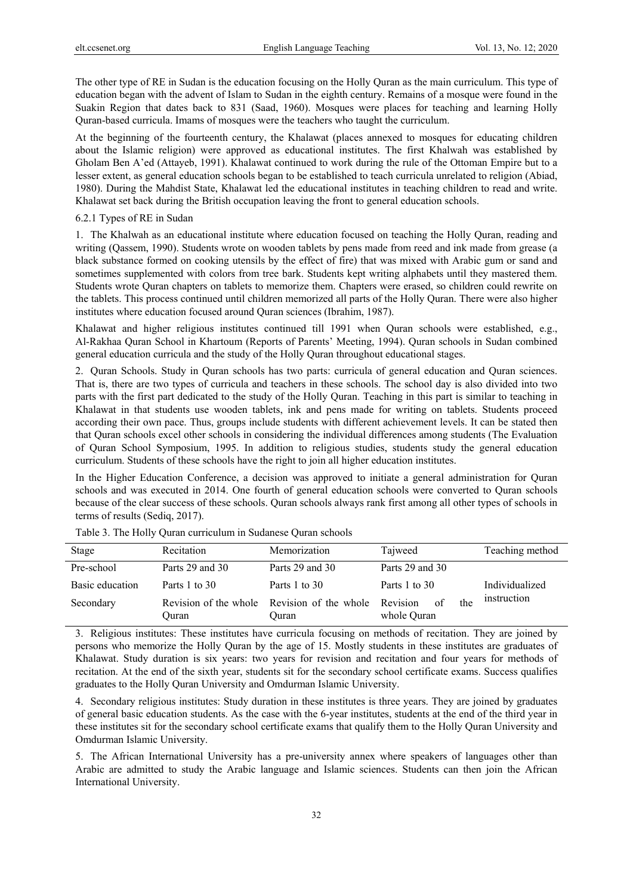The other type of RE in Sudan is the education focusing on the Holly Quran as the main curriculum. This type of education began with the advent of Islam to Sudan in the eighth century. Remains of a mosque were found in the Suakin Region that dates back to 831 (Saad, 1960). Mosques were places for teaching and learning Holly Quran-based curricula. Imams of mosques were the teachers who taught the curriculum.

At the beginning of the fourteenth century, the Khalawat (places annexed to mosques for educating children about the Islamic religion) were approved as educational institutes. The first Khalwah was established by Gholam Ben A'ed (Attayeb, 1991). Khalawat continued to work during the rule of the Ottoman Empire but to a lesser extent, as general education schools began to be established to teach curricula unrelated to religion (Abiad, 1980). During the Mahdist State, Khalawat led the educational institutes in teaching children to read and write. Khalawat set back during the British occupation leaving the front to general education schools.

#### 6.2.1 Types of RE in Sudan

1. The Khalwah as an educational institute where education focused on teaching the Holly Quran, reading and writing (Qassem, 1990). Students wrote on wooden tablets by pens made from reed and ink made from grease (a black substance formed on cooking utensils by the effect of fire) that was mixed with Arabic gum or sand and sometimes supplemented with colors from tree bark. Students kept writing alphabets until they mastered them. Students wrote Quran chapters on tablets to memorize them. Chapters were erased, so children could rewrite on the tablets. This process continued until children memorized all parts of the Holly Quran. There were also higher institutes where education focused around Quran sciences (Ibrahim, 1987).

Khalawat and higher religious institutes continued till 1991 when Quran schools were established, e.g., Al-Rakhaa Quran School in Khartoum (Reports of Parents' Meeting, 1994). Quran schools in Sudan combined general education curricula and the study of the Holly Quran throughout educational stages.

2. Quran Schools. Study in Quran schools has two parts: curricula of general education and Quran sciences. That is, there are two types of curricula and teachers in these schools. The school day is also divided into two parts with the first part dedicated to the study of the Holly Quran. Teaching in this part is similar to teaching in Khalawat in that students use wooden tablets, ink and pens made for writing on tablets. Students proceed according their own pace. Thus, groups include students with different achievement levels. It can be stated then that Quran schools excel other schools in considering the individual differences among students (The Evaluation of Quran School Symposium, 1995. In addition to religious studies, students study the general education curriculum. Students of these schools have the right to join all higher education institutes.

In the Higher Education Conference, a decision was approved to initiate a general administration for Quran schools and was executed in 2014. One fourth of general education schools were converted to Quran schools because of the clear success of these schools. Quran schools always rank first among all other types of schools in terms of results (Sediq, 2017).

| Stage           | Recitation                     | Memorization                   | Tajweed                              | Teaching method |
|-----------------|--------------------------------|--------------------------------|--------------------------------------|-----------------|
| Pre-school      | Parts 29 and 30                | Parts 29 and 30                | Parts 29 and 30                      |                 |
| Basic education | Parts 1 to 30                  | Parts 1 to 30                  | Parts 1 to 30                        | Individualized  |
| Secondary       | Revision of the whole<br>Ouran | Revision of the whole<br>Ouran | Revision<br>of<br>the<br>whole Quran | instruction     |

Table 3. The Holly Quran curriculum in Sudanese Quran schools

3. Religious institutes: These institutes have curricula focusing on methods of recitation. They are joined by persons who memorize the Holly Quran by the age of 15. Mostly students in these institutes are graduates of Khalawat. Study duration is six years: two years for revision and recitation and four years for methods of recitation. At the end of the sixth year, students sit for the secondary school certificate exams. Success qualifies graduates to the Holly Quran University and Omdurman Islamic University.

4. Secondary religious institutes: Study duration in these institutes is three years. They are joined by graduates of general basic education students. As the case with the 6-year institutes, students at the end of the third year in these institutes sit for the secondary school certificate exams that qualify them to the Holly Quran University and Omdurman Islamic University.

5. The African International University has a pre-university annex where speakers of languages other than Arabic are admitted to study the Arabic language and Islamic sciences. Students can then join the African International University.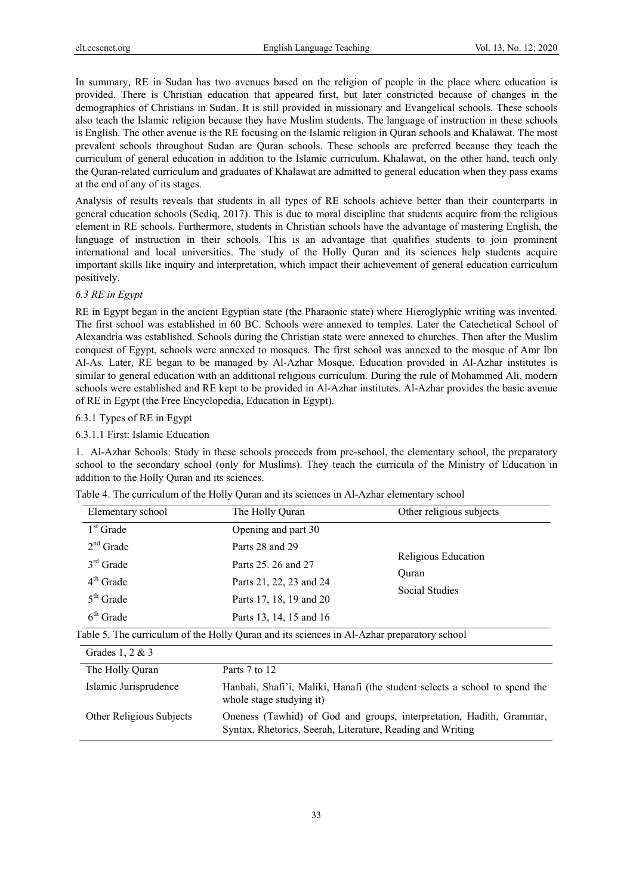In summary, RE in Sudan has two avenues based on the religion of people in the place where education is provided. There is Christian education that appeared first, but later constricted because of changes in the demographics of Christians in Sudan. It is still provided in missionary and Evangelical schools. These schools also teach the Islamic religion because they have Muslim students. The language of instruction in these schools is English. The other avenue is the RE focusing on the Islamic religion in Quran schools and Khalawat. The most prevalent schools throughout Sudan are Quran schools. These schools are preferred because they teach the curriculum of general education in addition to the Islamic curriculum. Khalawat, on the other hand, teach only the Quran-related curriculum and graduates of Khalawat are admitted to general education when they pass exams at the end of any of its stages.

Analysis of results reveals that students in all types of RE schools achieve better than their counterparts in general education schools (Sediq, 2017). This is due to moral discipline that students acquire from the religious element in RE schools. Furthermore, students in Christian schools have the advantage of mastering English, the language of instruction in their schools. This is an advantage that qualifies students to join prominent international and local universities. The study of the Holly Quran and its sciences help students acquire important skills like inquiry and interpretation, which impact their achievement of general education curriculum positively.

#### *6.3 RE in Egypt*

RE in Egypt began in the ancient Egyptian state (the Pharaonic state) where Hieroglyphic writing was invented. The first school was established in 60 BC. Schools were annexed to temples. Later the Catechetical School of Alexandria was established. Schools during the Christian state were annexed to churches. Then after the Muslim conquest of Egypt, schools were annexed to mosques. The first school was annexed to the mosque of Amr Ibn Al-As. Later, RE began to be managed by Al-Azhar Mosque. Education provided in Al-Azhar institutes is similar to general education with an additional religious curriculum. During the rule of Mohammed Ali, modern schools were established and RE kept to be provided in Al-Azhar institutes. Al-Azhar provides the basic avenue of RE in Egypt (the Free Encyclopedia, Education in Egypt).

#### 6.3.1 Types of RE in Egypt

#### 6.3.1.1 First: Islamic Education

1. Al-Azhar Schools: Study in these schools proceeds from pre-school, the elementary school, the preparatory school to the secondary school (only for Muslims). They teach the curricula of the Ministry of Education in addition to the Holly Quran and its sciences.

|  |  |  |  |  | Table 4. The curriculum of the Holly Quran and its sciences in Al-Azhar elementary school |
|--|--|--|--|--|-------------------------------------------------------------------------------------------|
|--|--|--|--|--|-------------------------------------------------------------------------------------------|

| Elementary school                                        | The Holly Quran                                                                              | Other religious subjects                                                    |  |
|----------------------------------------------------------|----------------------------------------------------------------------------------------------|-----------------------------------------------------------------------------|--|
| $1st$ Grade                                              | Opening and part 30                                                                          |                                                                             |  |
| $2nd$ Grade<br>$3rd$ Grade<br>$4th$ Grade<br>$5th$ Grade | Parts 28 and 29<br>Parts 25, 26 and 27<br>Parts 21, 22, 23 and 24<br>Parts 17, 18, 19 and 20 | Religious Education<br>Ouran<br>Social Studies                              |  |
| $6th$ Grade                                              | Parts 13, 14, 15 and 16                                                                      |                                                                             |  |
|                                                          | Table 5. The curriculum of the Holly Quran and its sciences in Al-Azhar preparatory school   |                                                                             |  |
| Grades 1, $2 & 3$                                        |                                                                                              |                                                                             |  |
| The Holly Quran                                          | Parts 7 to 12                                                                                |                                                                             |  |
| Islamic Jurisprudence                                    | whole stage studying it)                                                                     | Hanbali, Shafi'i, Maliki, Hanafi (the student selects a school to spend the |  |
| Other Religious Subjects                                 | Oneness (Tawhid) of God and groups, interpretation, Hadith, Grammar,                         |                                                                             |  |

Syntax, Rhetorics, Seerah, Literature, Reading and Writing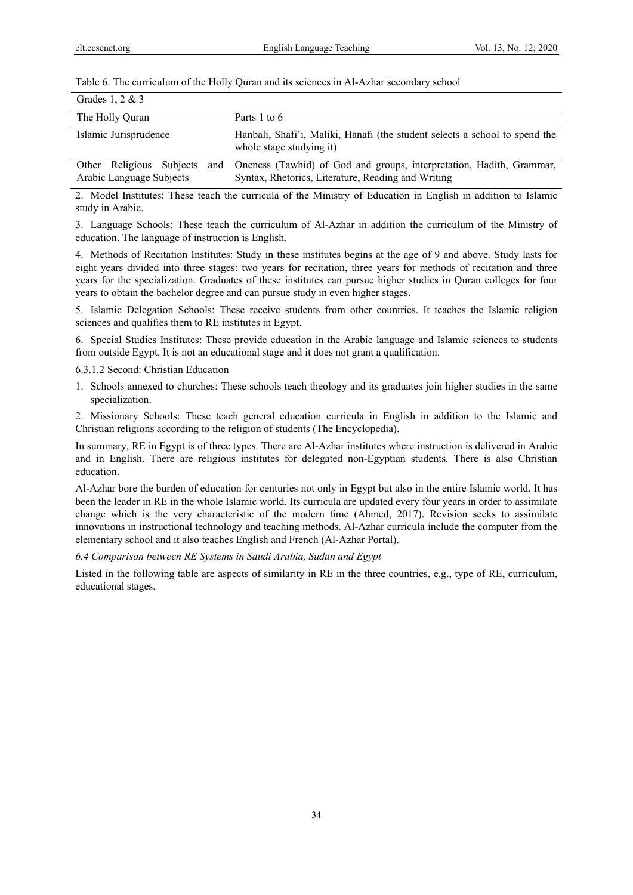Table 6. The curriculum of the Holly Quran and its sciences in Al-Azhar secondary school

| Grades 1, $2 \& 3$                                       |                                                                                                                            |
|----------------------------------------------------------|----------------------------------------------------------------------------------------------------------------------------|
| The Holly Quran                                          | Parts 1 to 6                                                                                                               |
| Islamic Jurisprudence                                    | Hanbali, Shafi'i, Maliki, Hanafi (the student selects a school to spend the<br>whole stage studying it)                    |
| Other Religious Subjects and<br>Arabic Language Subjects | Oneness (Tawhid) of God and groups, interpretation, Hadith, Grammar,<br>Syntax, Rhetorics, Literature, Reading and Writing |

2. Model Institutes: These teach the curricula of the Ministry of Education in English in addition to Islamic study in Arabic.

3. Language Schools: These teach the curriculum of Al-Azhar in addition the curriculum of the Ministry of education. The language of instruction is English.

4. Methods of Recitation Institutes: Study in these institutes begins at the age of 9 and above. Study lasts for eight years divided into three stages: two years for recitation, three years for methods of recitation and three years for the specialization. Graduates of these institutes can pursue higher studies in Quran colleges for four years to obtain the bachelor degree and can pursue study in even higher stages.

5. Islamic Delegation Schools: These receive students from other countries. It teaches the Islamic religion sciences and qualifies them to RE institutes in Egypt.

6. Special Studies Institutes: These provide education in the Arabic language and Islamic sciences to students from outside Egypt. It is not an educational stage and it does not grant a qualification.

6.3.1.2 Second: Christian Education

1. Schools annexed to churches: These schools teach theology and its graduates join higher studies in the same specialization.

2. Missionary Schools: These teach general education curricula in English in addition to the Islamic and Christian religions according to the religion of students (The Encyclopedia).

In summary, RE in Egypt is of three types. There are Al-Azhar institutes where instruction is delivered in Arabic and in English. There are religious institutes for delegated non-Egyptian students. There is also Christian education.

Al-Azhar bore the burden of education for centuries not only in Egypt but also in the entire Islamic world. It has been the leader in RE in the whole Islamic world. Its curricula are updated every four years in order to assimilate change which is the very characteristic of the modern time (Ahmed, 2017). Revision seeks to assimilate innovations in instructional technology and teaching methods. Al-Azhar curricula include the computer from the elementary school and it also teaches English and French (Al-Azhar Portal).

*6.4 Comparison between RE Systems in Saudi Arabia, Sudan and Egypt* 

Listed in the following table are aspects of similarity in RE in the three countries, e.g., type of RE, curriculum, educational stages.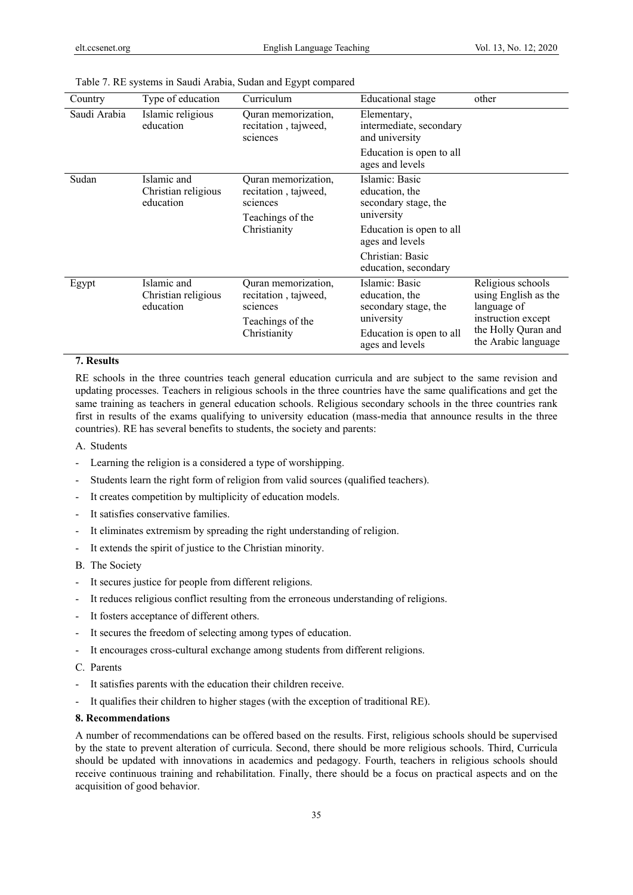|              |                                                 | ວາ 1<br>$\mathbf{r}$                                                                        |                                                                        |                                                                                                                              |
|--------------|-------------------------------------------------|---------------------------------------------------------------------------------------------|------------------------------------------------------------------------|------------------------------------------------------------------------------------------------------------------------------|
| Country      | Type of education                               | Curriculum                                                                                  | Educational stage                                                      | other                                                                                                                        |
| Saudi Arabia | Islamic religious<br>education                  | Quran memorization,<br>recitation, tajweed,<br>sciences                                     | Elementary,<br>intermediate, secondary<br>and university               |                                                                                                                              |
|              |                                                 |                                                                                             | Education is open to all<br>ages and levels                            |                                                                                                                              |
| Sudan        | Islamic and<br>Christian religious<br>education | Quran memorization,<br>recitation, tajweed,<br>sciences                                     | Islamic: Basic<br>education, the<br>secondary stage, the               |                                                                                                                              |
|              |                                                 | Teachings of the<br>Christianity                                                            | university                                                             |                                                                                                                              |
|              |                                                 |                                                                                             | Education is open to all<br>ages and levels                            |                                                                                                                              |
|              |                                                 |                                                                                             | Christian: Basic<br>education, secondary                               |                                                                                                                              |
| Egypt        | Islamic and<br>Christian religious<br>education | Quran memorization,<br>recitation, tajweed,<br>sciences<br>Teachings of the<br>Christianity | Islamic: Basic<br>education, the<br>secondary stage, the<br>university | Religious schools<br>using English as the<br>language of<br>instruction except<br>the Holly Quran and<br>the Arabic language |
|              |                                                 |                                                                                             | Education is open to all<br>ages and levels                            |                                                                                                                              |

Table 7. RE systems in Saudi Arabia, Sudan and Egypt compared

#### **7. Results**

RE schools in the three countries teach general education curricula and are subject to the same revision and updating processes. Teachers in religious schools in the three countries have the same qualifications and get the same training as teachers in general education schools. Religious secondary schools in the three countries rank first in results of the exams qualifying to university education (mass-media that announce results in the three countries). RE has several benefits to students, the society and parents:

A. Students

- Learning the religion is a considered a type of worshipping.
- Students learn the right form of religion from valid sources (qualified teachers).
- It creates competition by multiplicity of education models.
- It satisfies conservative families.
- It eliminates extremism by spreading the right understanding of religion.
- It extends the spirit of justice to the Christian minority.
- B. The Society
- It secures justice for people from different religions.
- It reduces religious conflict resulting from the erroneous understanding of religions.
- It fosters acceptance of different others.
- It secures the freedom of selecting among types of education.
- It encourages cross-cultural exchange among students from different religions.
- C. Parents
- It satisfies parents with the education their children receive.
- It qualifies their children to higher stages (with the exception of traditional RE).

#### **8. Recommendations**

A number of recommendations can be offered based on the results. First, religious schools should be supervised by the state to prevent alteration of curricula. Second, there should be more religious schools. Third, Curricula should be updated with innovations in academics and pedagogy. Fourth, teachers in religious schools should receive continuous training and rehabilitation. Finally, there should be a focus on practical aspects and on the acquisition of good behavior.